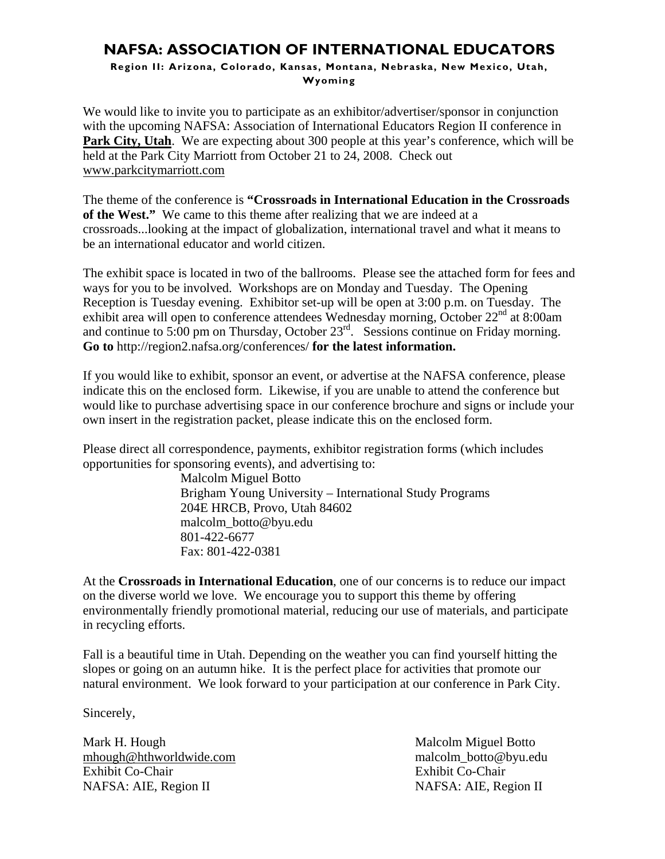# **NAFSA: ASSOCIATION OF INTERNATIONAL EDUCATORS**

**Region II: Arizona, Colorado, Kansas, Montana, Nebraska, New Mexico, Utah, Wyoming** 

We would like to invite you to participate as an exhibitor/advertiser/sponsor in conjunction with the upcoming NAFSA: Association of International Educators Region II conference in **Park City, Utah**. We are expecting about 300 people at this year's conference, which will be held at the Park City Marriott from October 21 to 24, 2008. Check out www.parkcitymarriott.com

The theme of the conference is **"Crossroads in International Education in the Crossroads of the West."** We came to this theme after realizing that we are indeed at a crossroads...looking at the impact of globalization, international travel and what it means to be an international educator and world citizen.

The exhibit space is located in two of the ballrooms. Please see the attached form for fees and ways for you to be involved. Workshops are on Monday and Tuesday. The Opening Reception is Tuesday evening. Exhibitor set-up will be open at 3:00 p.m. on Tuesday. The exhibit area will open to conference attendees Wednesday morning, October 22<sup>nd</sup> at 8:00am and continue to 5:00 pm on Thursday, October 23rd. Sessions continue on Friday morning. **Go to** http://region2.nafsa.org/conferences/ **for the latest information.** 

If you would like to exhibit, sponsor an event, or advertise at the NAFSA conference, please indicate this on the enclosed form. Likewise, if you are unable to attend the conference but would like to purchase advertising space in our conference brochure and signs or include your own insert in the registration packet, please indicate this on the enclosed form.

Please direct all correspondence, payments, exhibitor registration forms (which includes opportunities for sponsoring events), and advertising to:

> Malcolm Miguel Botto Brigham Young University – International Study Programs 204E HRCB, Provo, Utah 84602 malcolm\_botto@byu.edu 801-422-6677 Fax: 801-422-0381

At the **Crossroads in International Education**, one of our concerns is to reduce our impact on the diverse world we love. We encourage you to support this theme by offering environmentally friendly promotional material, reducing our use of materials, and participate in recycling efforts.

Fall is a beautiful time in Utah. Depending on the weather you can find yourself hitting the slopes or going on an autumn hike. It is the perfect place for activities that promote our natural environment. We look forward to your participation at our conference in Park City.

Sincerely,

Mark H. Hough Malcolm Miguel Botto mhough@hthworldwide.com malcolm\_botto@byu.edu Exhibit Co-Chair Exhibit Co-Chair NAFSA: AIE, Region II NAFSA: AIE, Region II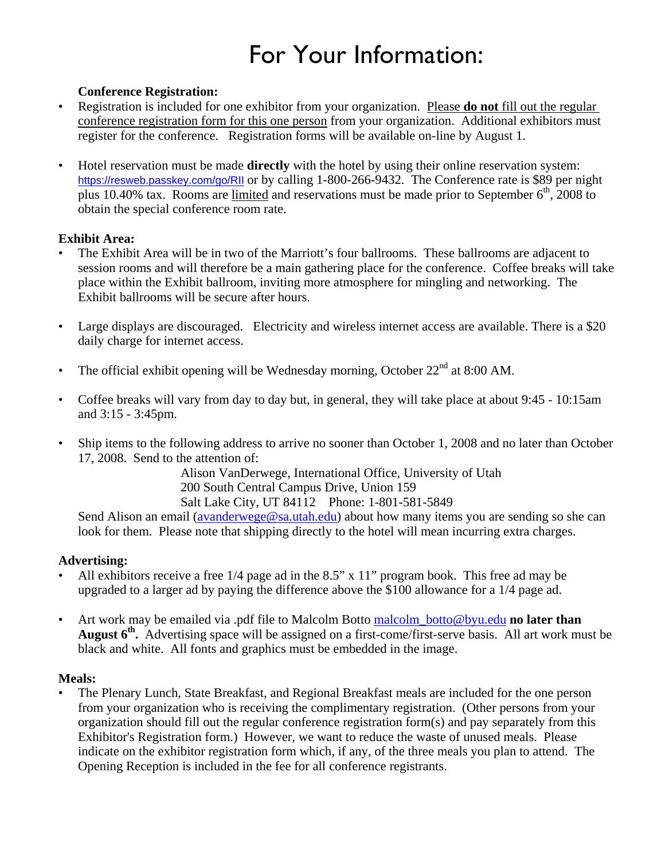# For Your Information:

## **Conference Registration:**

- Registration is included for one exhibitor from your organization. Please **do not** fill out the regular conference registration form for this one person from your organization. Additional exhibitors must register for the conference. Registration forms will be available on-line by August 1.
- Hotel reservation must be made **directly** with the hotel by using their online reservation system: https://resweb.passkey.com/go/RII or by calling 1-800-266-9432. The Conference rate is \$89 per night plus 10.40% tax. Rooms are limited and reservations must be made prior to September  $6<sup>th</sup>$ , 2008 to obtain the special conference room rate.

#### **Exhibit Area:**

- The Exhibit Area will be in two of the Marriott's four ballrooms. These ballrooms are adjacent to session rooms and will therefore be a main gathering place for the conference. Coffee breaks will take place within the Exhibit ballroom, inviting more atmosphere for mingling and networking. The Exhibit ballrooms will be secure after hours.
- Large displays are discouraged. Electricity and wireless internet access are available. There is a \$20 daily charge for internet access.
- The official exhibit opening will be Wednesday morning, October  $22<sup>nd</sup>$  at 8:00 AM.
- Coffee breaks will vary from day to day but, in general, they will take place at about 9:45 10:15am and 3:15 - 3:45pm.
- Ship items to the following address to arrive no sooner than October 1, 2008 and no later than October 17, 2008. Send to the attention of:

Alison VanDerwege, International Office, University of Utah 200 South Central Campus Drive, Union 159 Salt Lake City, UT 84112 Phone: 1-801-581-5849

Send Alison an email (avanderwege@sa.utah.edu) about how many items you are sending so she can look for them. Please note that shipping directly to the hotel will mean incurring extra charges.

## **Advertising:**

- All exhibitors receive a free 1/4 page ad in the 8.5" x 11" program book. This free ad may be upgraded to a larger ad by paying the difference above the \$100 allowance for a 1/4 page ad.
- Art work may be emailed via .pdf file to Malcolm Botto malcolm\_botto@byu.edu **no later than August 6th.** Advertising space will be assigned on a first-come/first-serve basis. All art work must be black and white. All fonts and graphics must be embedded in the image.

#### **Meals:**

• The Plenary Lunch, State Breakfast, and Regional Breakfast meals are included for the one person from your organization who is receiving the complimentary registration. (Other persons from your organization should fill out the regular conference registration form(s) and pay separately from this Exhibitor's Registration form.) However, we want to reduce the waste of unused meals. Please indicate on the exhibitor registration form which, if any, of the three meals you plan to attend. The Opening Reception is included in the fee for all conference registrants.